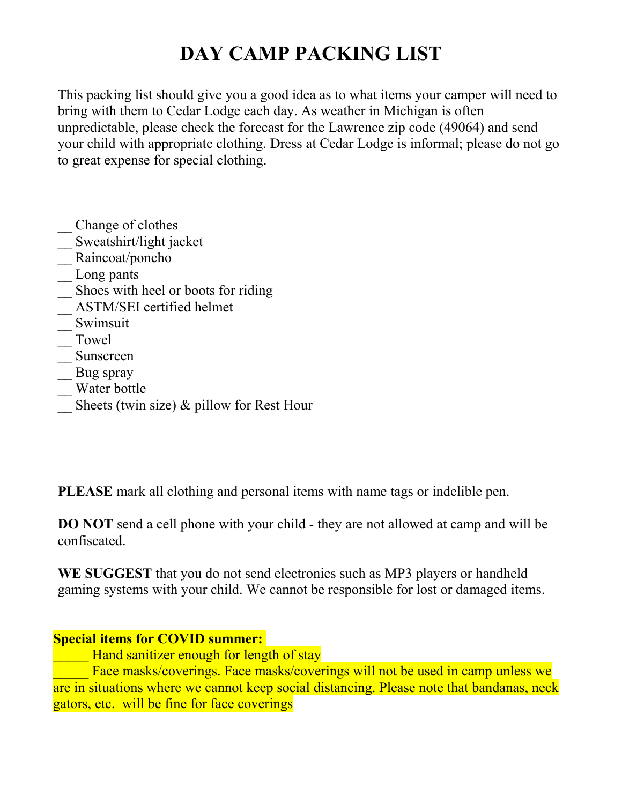## **DAY CAMP PACKING LIST**

This packing list should give you a good idea as to what items your camper will need to bring with them to Cedar Lodge each day. As weather in Michigan is often unpredictable, please check the forecast for the Lawrence zip code (49064) and send your child with appropriate clothing. Dress at Cedar Lodge is informal; please do not go to great expense for special clothing.

- \_\_ Change of clothes
- \_\_ Sweatshirt/light jacket
- \_\_ Raincoat/poncho
- Long pants
- \_\_ Shoes with heel or boots for riding
- \_\_ ASTM/SEI certified helmet
- \_\_ Swimsuit
- \_\_ Towel
- \_\_ Sunscreen
- Bug spray
- \_\_ Water bottle
- Sheets (twin size) & pillow for Rest Hour

**PLEASE** mark all clothing and personal items with name tags or indelible pen.

**DO NOT** send a cell phone with your child - they are not allowed at camp and will be confiscated.

**WE SUGGEST** that you do not send electronics such as MP3 players or handheld gaming systems with your child. We cannot be responsible for lost or damaged items.

## **Special items for COVID summer:**

**EXECUTE:** Hand sanitizer enough for length of stay

Face masks/coverings. Face masks/coverings will not be used in camp unless we are in situations where we cannot keep social distancing. Please note that bandanas, neck gators, etc. will be fine for face coverings